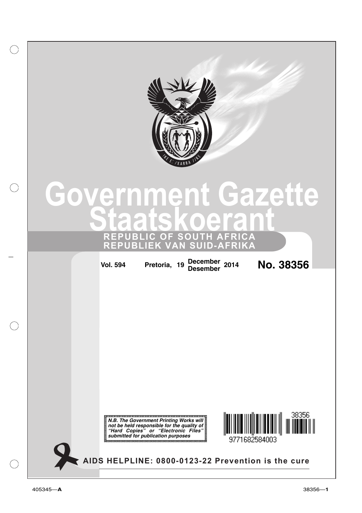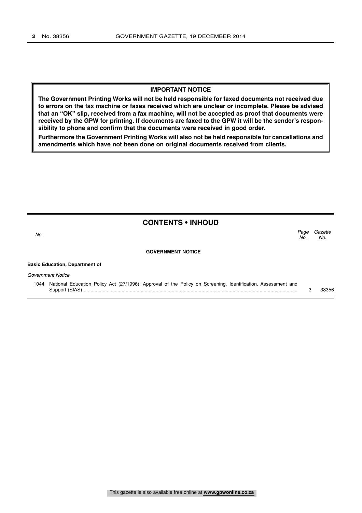## **IMPORTANT NOTICE**

**The Government Printing Works will not be held responsible for faxed documents not received due to errors on the fax machine or faxes received which are unclear or incomplete. Please be advised that an "OK" slip, received from a fax machine, will not be accepted as proof that documents were received by the GPW for printing. If documents are faxed to the GPW it will be the sender's responsibility to phone and confirm that the documents were received in good order.**

**Furthermore the Government Printing Works will also not be held responsible for cancellations and amendments which have not been done on original documents received from clients.**

|      | <b>CONTENTS • INHOUD</b>                                                                                     |             |                |
|------|--------------------------------------------------------------------------------------------------------------|-------------|----------------|
| No.  |                                                                                                              | Page<br>No. | Gazette<br>No. |
|      | <b>GOVERNMENT NOTICE</b>                                                                                     |             |                |
|      | <b>Basic Education, Department of</b>                                                                        |             |                |
|      | Government Notice                                                                                            |             |                |
| 1044 | National Education Policy Act (27/1996): Approval of the Policy on Screening, Identification, Assessment and |             | 38356          |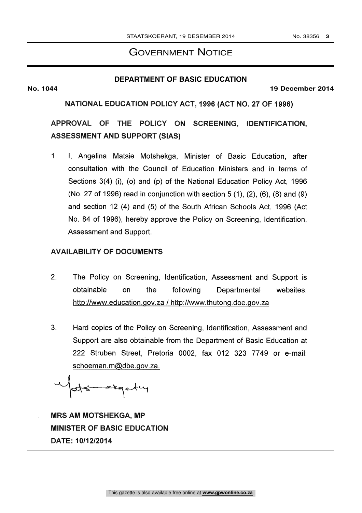# GOVERNMENT NOTICE

# **DEPARTMENT OF BASIC EDUCATION**

### **No. 1044 19 December 2014**

NATIONAL EDUCATION POLICY ACT, 1996 (ACT NO. 27 OF 1996)

APPROVAL OF THE POLICY ON SCREENING, IDENTIFICATION, ASSESSMENT AND SUPPORT (SIAS)

1. I, Angelina Matsie Motshekga, Minister of Basic Education, after consultation with the Council of Education Ministers and in terms of Sections 3(4) (i), (o) and (p) of the National Education Policy Act, 1996 (No. 27 of 1996) read in conjunction with section 5 (1), (2), (6), (8) and (9) and section 12 (4) and (5) of the South African Schools Act, 1996 (Act No. 84 of 1996), hereby approve the Policy on Screening, Identification, Assessment and Support.

# AVAILABILITY OF DOCUMENTS

- 2. The Policy on Screening, Identification, Assessment and Support is obtainable on the following Departmental websites: http://www.education.gov.za / http://www.thutong.doe.gov.za
- 3. Hard copies of the Policy on Screening, Identification, Assessment and Support are also obtainable from the Department of Basic Education at 222 Struben Street, Pretoria 0002, fax 012 323 7749 or e-mail: schoeman.m@dbe.gov.za.

-1.c°c---------i-\Q---lf-t--4-1

MRS AM MOTSHEKGA, MP MINISTER OF BASIC EDUCATION DATE: 10/12/2014